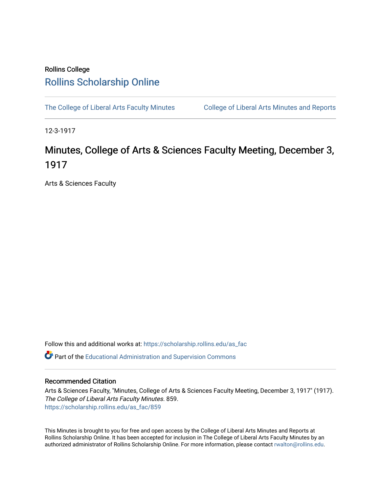## Rollins College [Rollins Scholarship Online](https://scholarship.rollins.edu/)

[The College of Liberal Arts Faculty Minutes](https://scholarship.rollins.edu/as_fac) College of Liberal Arts Minutes and Reports

12-3-1917

## Minutes, College of Arts & Sciences Faculty Meeting, December 3, 1917

Arts & Sciences Faculty

Follow this and additional works at: [https://scholarship.rollins.edu/as\\_fac](https://scholarship.rollins.edu/as_fac?utm_source=scholarship.rollins.edu%2Fas_fac%2F859&utm_medium=PDF&utm_campaign=PDFCoverPages) 

**P** Part of the [Educational Administration and Supervision Commons](http://network.bepress.com/hgg/discipline/787?utm_source=scholarship.rollins.edu%2Fas_fac%2F859&utm_medium=PDF&utm_campaign=PDFCoverPages)

## Recommended Citation

Arts & Sciences Faculty, "Minutes, College of Arts & Sciences Faculty Meeting, December 3, 1917" (1917). The College of Liberal Arts Faculty Minutes. 859. [https://scholarship.rollins.edu/as\\_fac/859](https://scholarship.rollins.edu/as_fac/859?utm_source=scholarship.rollins.edu%2Fas_fac%2F859&utm_medium=PDF&utm_campaign=PDFCoverPages) 

This Minutes is brought to you for free and open access by the College of Liberal Arts Minutes and Reports at Rollins Scholarship Online. It has been accepted for inclusion in The College of Liberal Arts Faculty Minutes by an authorized administrator of Rollins Scholarship Online. For more information, please contact [rwalton@rollins.edu](mailto:rwalton@rollins.edu).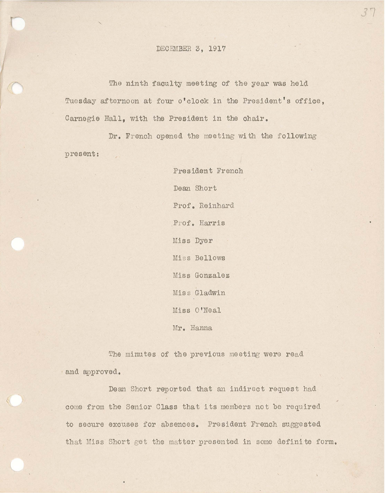## DECEMBER 3, 1917

The ninth faculty meeting of the year was held Tuesday afternoon at four o' clock in the President's office, Carnegie Hall, with the President in the chair.

Dr. French opened the meeting with the following present:

> President French Dean Short Prof. Reinhard Prof. Harris Miss Dyer Miss Bellows Miss Gonzalez Miss Gladwin Miss O'Neal Mr. Hanna

The minutes of the previous meeting were read and approved.

Dean Short reported that an indirect request had come from the Senior Class that its members not be required to secure excuses for absences. President French suggested that Miss Short get the matter presented in some definite form.